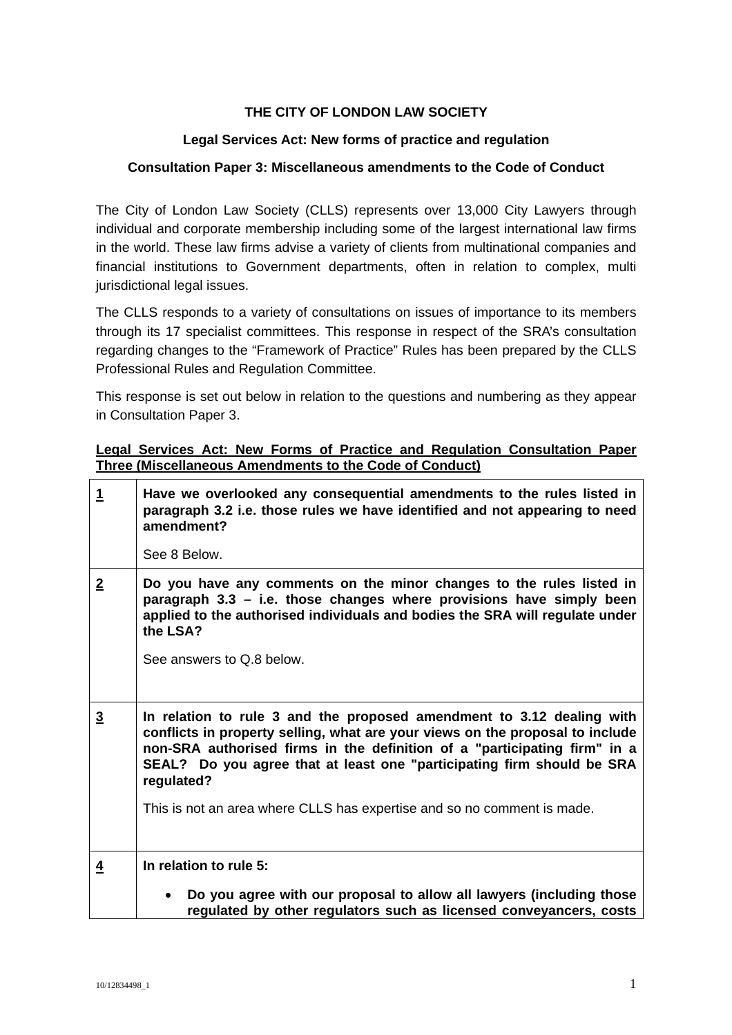# **THE CITY OF LONDON LAW SOCIETY**

## **Legal Services Act: New forms of practice and regulation**

### **Consultation Paper 3: Miscellaneous amendments to the Code of Conduct**

The City of London Law Society (CLLS) represents over 13,000 City Lawyers through individual and corporate membership including some of the largest international law firms in the world. These law firms advise a variety of clients from multinational companies and financial institutions to Government departments, often in relation to complex, multi jurisdictional legal issues.

The CLLS responds to a variety of consultations on issues of importance to its members through its 17 specialist committees. This response in respect of the SRA's consultation regarding changes to the "Framework of Practice" Rules has been prepared by the CLLS Professional Rules and Regulation Committee.

This response is set out below in relation to the questions and numbering as they appear in Consultation Paper 3.

### **Legal Services Act: New Forms of Practice and Regulation Consultation Paper Three (Miscellaneous Amendments to the Code of Conduct)**

| $\mathbf 1$    | Have we overlooked any consequential amendments to the rules listed in<br>paragraph 3.2 i.e. those rules we have identified and not appearing to need<br>amendment?<br>See 8 Below.                                                                                                                                                                                                                    |
|----------------|--------------------------------------------------------------------------------------------------------------------------------------------------------------------------------------------------------------------------------------------------------------------------------------------------------------------------------------------------------------------------------------------------------|
| $\overline{2}$ | Do you have any comments on the minor changes to the rules listed in<br>paragraph 3.3 - i.e. those changes where provisions have simply been<br>applied to the authorised individuals and bodies the SRA will regulate under<br>the LSA?<br>See answers to Q.8 below.                                                                                                                                  |
| $\overline{3}$ | In relation to rule 3 and the proposed amendment to 3.12 dealing with<br>conflicts in property selling, what are your views on the proposal to include<br>non-SRA authorised firms in the definition of a "participating firm" in a<br>SEAL? Do you agree that at least one "participating firm should be SRA<br>regulated?<br>This is not an area where CLLS has expertise and so no comment is made. |
| $\overline{4}$ | In relation to rule 5:                                                                                                                                                                                                                                                                                                                                                                                 |
|                | Do you agree with our proposal to allow all lawyers (including those<br>regulated by other regulators such as licensed conveyancers, costs                                                                                                                                                                                                                                                             |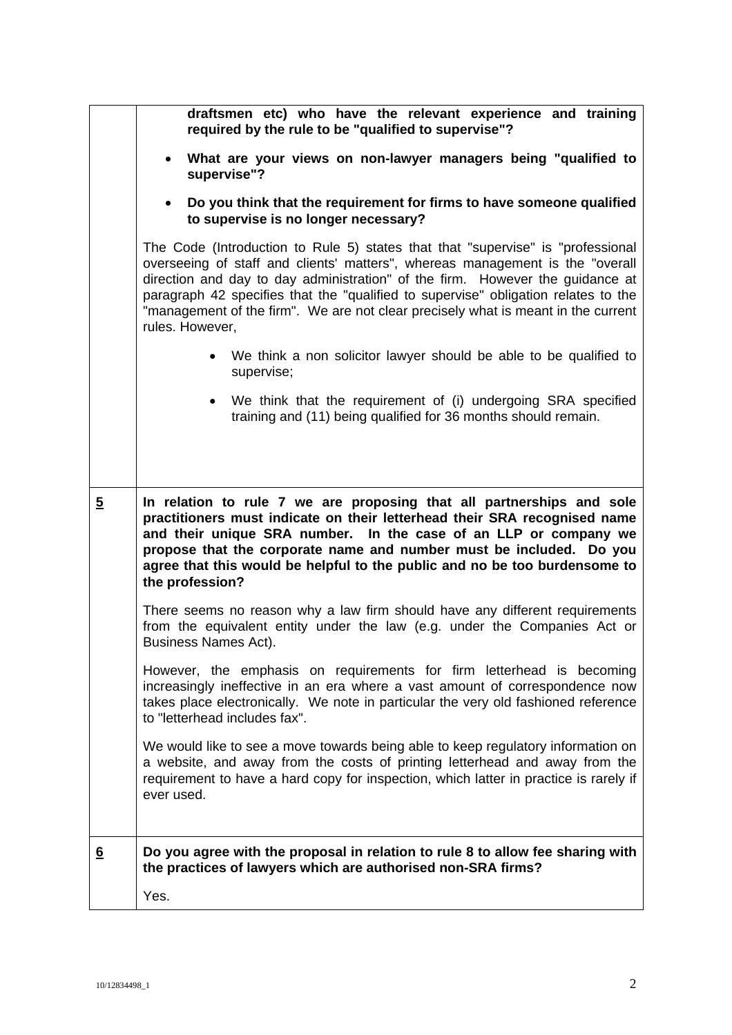|                 | draftsmen etc) who have the relevant experience and training<br>required by the rule to be "qualified to supervise"?                                                                                                                                                                                                                                                                                                                            |
|-----------------|-------------------------------------------------------------------------------------------------------------------------------------------------------------------------------------------------------------------------------------------------------------------------------------------------------------------------------------------------------------------------------------------------------------------------------------------------|
|                 | What are your views on non-lawyer managers being "qualified to<br>$\bullet$<br>supervise"?                                                                                                                                                                                                                                                                                                                                                      |
|                 | Do you think that the requirement for firms to have someone qualified<br>to supervise is no longer necessary?                                                                                                                                                                                                                                                                                                                                   |
|                 | The Code (Introduction to Rule 5) states that that "supervise" is "professional<br>overseeing of staff and clients' matters", whereas management is the "overall<br>direction and day to day administration" of the firm. However the guidance at<br>paragraph 42 specifies that the "qualified to supervise" obligation relates to the<br>"management of the firm". We are not clear precisely what is meant in the current<br>rules. However, |
|                 | • We think a non solicitor lawyer should be able to be qualified to<br>supervise;                                                                                                                                                                                                                                                                                                                                                               |
|                 | We think that the requirement of (i) undergoing SRA specified<br>$\bullet$<br>training and (11) being qualified for 36 months should remain.                                                                                                                                                                                                                                                                                                    |
|                 |                                                                                                                                                                                                                                                                                                                                                                                                                                                 |
| $\overline{2}$  | In relation to rule 7 we are proposing that all partnerships and sole<br>practitioners must indicate on their letterhead their SRA recognised name<br>and their unique SRA number. In the case of an LLP or company we<br>propose that the corporate name and number must be included. Do you<br>agree that this would be helpful to the public and no be too burdensome to<br>the profession?                                                  |
|                 | There seems no reason why a law firm should have any different requirements<br>from the equivalent entity under the law (e.g. under the Companies Act or<br><b>Business Names Act).</b>                                                                                                                                                                                                                                                         |
|                 | However, the emphasis on requirements for firm letterhead is becoming<br>increasingly ineffective in an era where a vast amount of correspondence now<br>takes place electronically. We note in particular the very old fashioned reference<br>to "letterhead includes fax".                                                                                                                                                                    |
|                 | We would like to see a move towards being able to keep regulatory information on<br>a website, and away from the costs of printing letterhead and away from the<br>requirement to have a hard copy for inspection, which latter in practice is rarely if<br>ever used.                                                                                                                                                                          |
| $6\overline{6}$ | Do you agree with the proposal in relation to rule 8 to allow fee sharing with<br>the practices of lawyers which are authorised non-SRA firms?                                                                                                                                                                                                                                                                                                  |
|                 | Yes.                                                                                                                                                                                                                                                                                                                                                                                                                                            |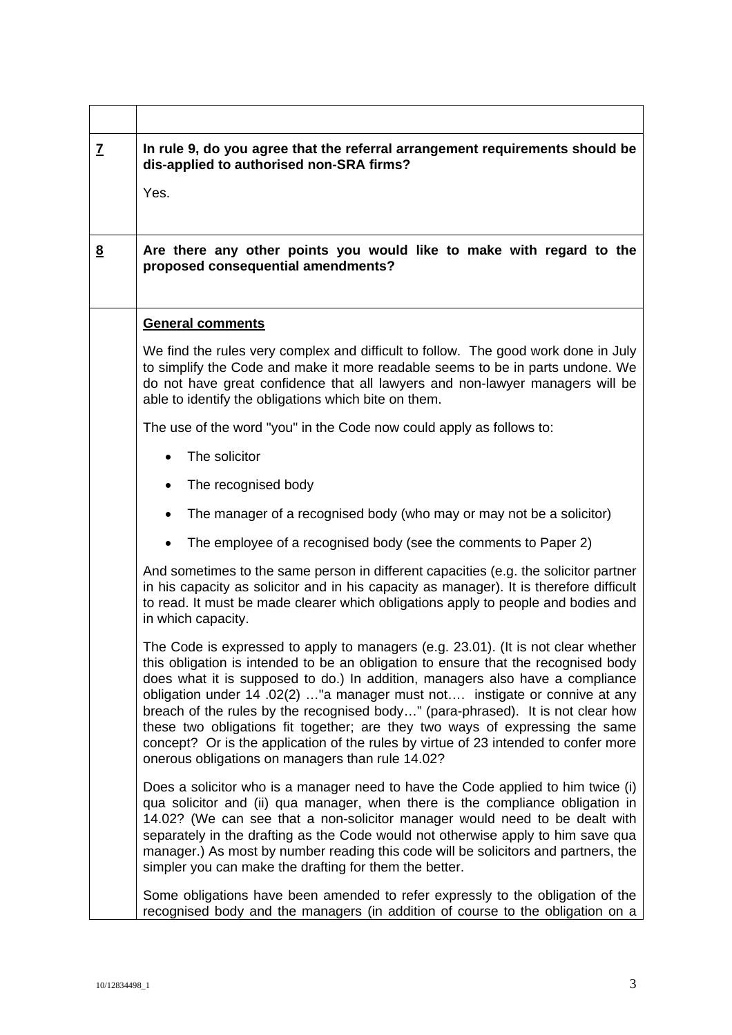| Z        | In rule 9, do you agree that the referral arrangement requirements should be<br>dis-applied to authorised non-SRA firms?                                                                                                                                                                                                                                                                                                                                                                                                                                                                                                                             |
|----------|------------------------------------------------------------------------------------------------------------------------------------------------------------------------------------------------------------------------------------------------------------------------------------------------------------------------------------------------------------------------------------------------------------------------------------------------------------------------------------------------------------------------------------------------------------------------------------------------------------------------------------------------------|
|          | Yes.                                                                                                                                                                                                                                                                                                                                                                                                                                                                                                                                                                                                                                                 |
|          |                                                                                                                                                                                                                                                                                                                                                                                                                                                                                                                                                                                                                                                      |
| <u>8</u> | Are there any other points you would like to make with regard to the<br>proposed consequential amendments?                                                                                                                                                                                                                                                                                                                                                                                                                                                                                                                                           |
|          | <b>General comments</b>                                                                                                                                                                                                                                                                                                                                                                                                                                                                                                                                                                                                                              |
|          | We find the rules very complex and difficult to follow. The good work done in July<br>to simplify the Code and make it more readable seems to be in parts undone. We<br>do not have great confidence that all lawyers and non-lawyer managers will be<br>able to identify the obligations which bite on them.                                                                                                                                                                                                                                                                                                                                        |
|          | The use of the word "you" in the Code now could apply as follows to:                                                                                                                                                                                                                                                                                                                                                                                                                                                                                                                                                                                 |
|          | The solicitor                                                                                                                                                                                                                                                                                                                                                                                                                                                                                                                                                                                                                                        |
|          | The recognised body                                                                                                                                                                                                                                                                                                                                                                                                                                                                                                                                                                                                                                  |
|          | The manager of a recognised body (who may or may not be a solicitor)                                                                                                                                                                                                                                                                                                                                                                                                                                                                                                                                                                                 |
|          | The employee of a recognised body (see the comments to Paper 2)                                                                                                                                                                                                                                                                                                                                                                                                                                                                                                                                                                                      |
|          | And sometimes to the same person in different capacities (e.g. the solicitor partner<br>in his capacity as solicitor and in his capacity as manager). It is therefore difficult<br>to read. It must be made clearer which obligations apply to people and bodies and<br>in which capacity.                                                                                                                                                                                                                                                                                                                                                           |
|          | The Code is expressed to apply to managers (e.g. 23.01). (It is not clear whether<br>this obligation is intended to be an obligation to ensure that the recognised body<br>does what it is supposed to do.) In addition, managers also have a compliance<br>obligation under 14 .02(2) "a manager must not instigate or connive at any<br>breach of the rules by the recognised body" (para-phrased). It is not clear how<br>these two obligations fit together; are they two ways of expressing the same<br>concept? Or is the application of the rules by virtue of 23 intended to confer more<br>onerous obligations on managers than rule 14.02? |
|          | Does a solicitor who is a manager need to have the Code applied to him twice (i)<br>qua solicitor and (ii) qua manager, when there is the compliance obligation in<br>14.02? (We can see that a non-solicitor manager would need to be dealt with<br>separately in the drafting as the Code would not otherwise apply to him save qua<br>manager.) As most by number reading this code will be solicitors and partners, the<br>simpler you can make the drafting for them the better.                                                                                                                                                                |
|          | Some obligations have been amended to refer expressly to the obligation of the<br>recognised body and the managers (in addition of course to the obligation on a                                                                                                                                                                                                                                                                                                                                                                                                                                                                                     |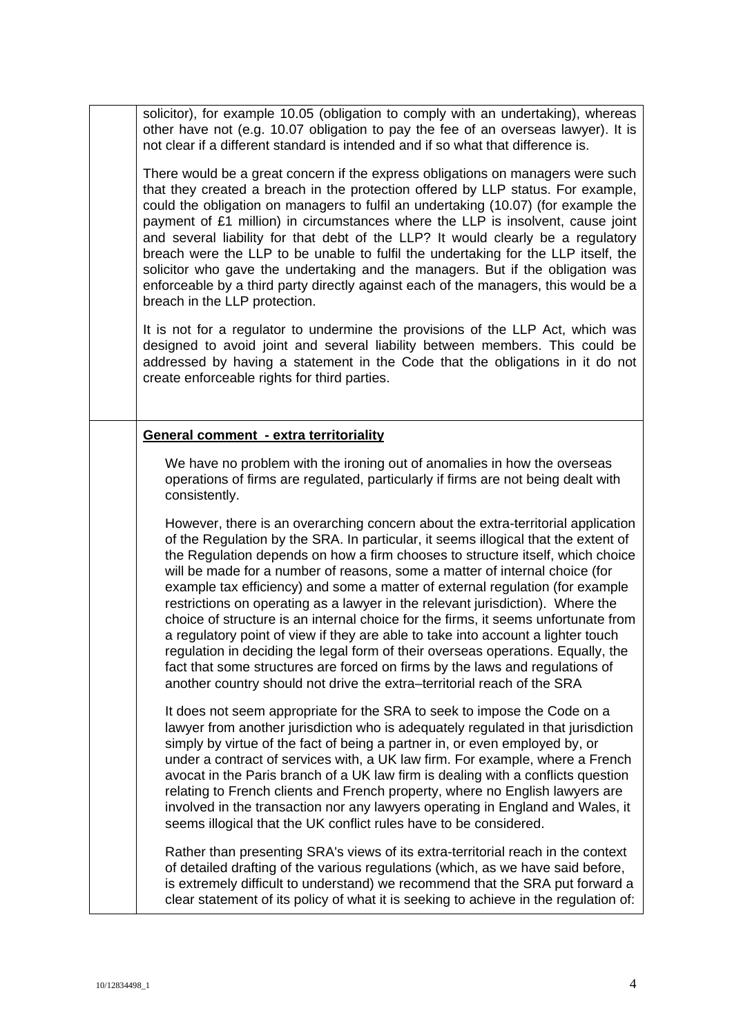solicitor), for example 10.05 (obligation to comply with an undertaking), whereas other have not (e.g. 10.07 obligation to pay the fee of an overseas lawyer). It is not clear if a different standard is intended and if so what that difference is.

There would be a great concern if the express obligations on managers were such that they created a breach in the protection offered by LLP status. For example, could the obligation on managers to fulfil an undertaking (10.07) (for example the payment of £1 million) in circumstances where the LLP is insolvent, cause joint and several liability for that debt of the LLP? It would clearly be a regulatory breach were the LLP to be unable to fulfil the undertaking for the LLP itself, the solicitor who gave the undertaking and the managers. But if the obligation was enforceable by a third party directly against each of the managers, this would be a breach in the LLP protection.

It is not for a regulator to undermine the provisions of the LLP Act, which was designed to avoid joint and several liability between members. This could be addressed by having a statement in the Code that the obligations in it do not create enforceable rights for third parties.

### **General comment - extra territoriality**

We have no problem with the ironing out of anomalies in how the overseas operations of firms are regulated, particularly if firms are not being dealt with consistently.

However, there is an overarching concern about the extra-territorial application of the Regulation by the SRA. In particular, it seems illogical that the extent of the Regulation depends on how a firm chooses to structure itself, which choice will be made for a number of reasons, some a matter of internal choice (for example tax efficiency) and some a matter of external regulation (for example restrictions on operating as a lawyer in the relevant jurisdiction). Where the choice of structure is an internal choice for the firms, it seems unfortunate from a regulatory point of view if they are able to take into account a lighter touch regulation in deciding the legal form of their overseas operations. Equally, the fact that some structures are forced on firms by the laws and regulations of another country should not drive the extra–territorial reach of the SRA

It does not seem appropriate for the SRA to seek to impose the Code on a lawyer from another jurisdiction who is adequately regulated in that jurisdiction simply by virtue of the fact of being a partner in, or even employed by, or under a contract of services with, a UK law firm. For example, where a French avocat in the Paris branch of a UK law firm is dealing with a conflicts question relating to French clients and French property, where no English lawyers are involved in the transaction nor any lawyers operating in England and Wales, it seems illogical that the UK conflict rules have to be considered.

Rather than presenting SRA's views of its extra-territorial reach in the context of detailed drafting of the various regulations (which, as we have said before, is extremely difficult to understand) we recommend that the SRA put forward a clear statement of its policy of what it is seeking to achieve in the regulation of: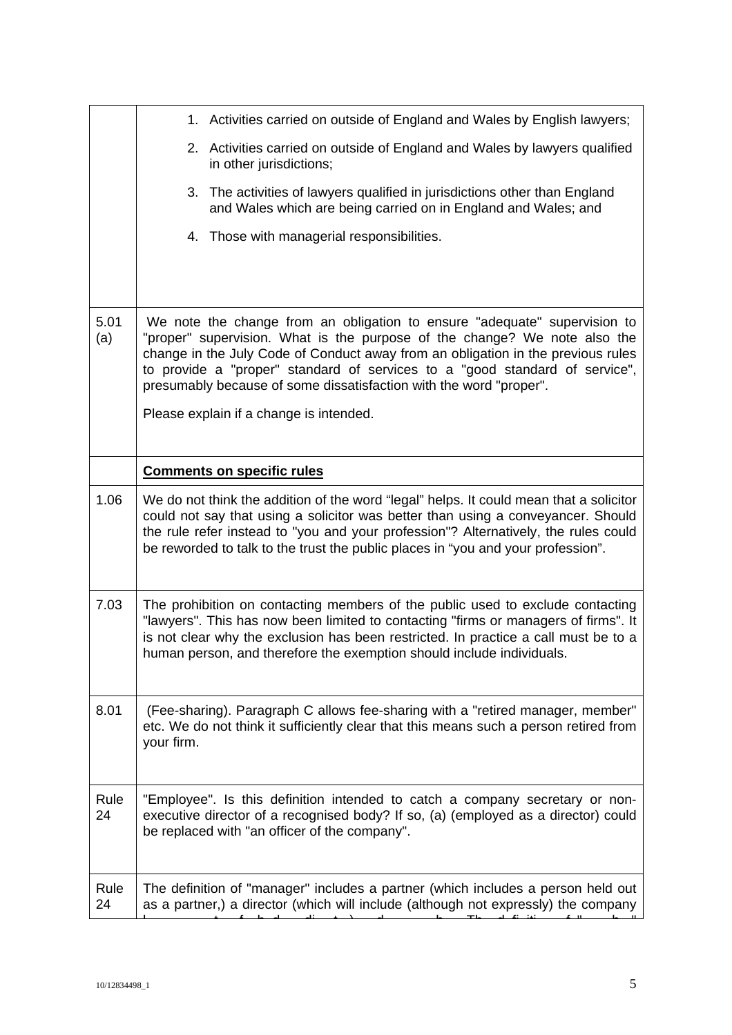|             | 1. Activities carried on outside of England and Wales by English lawyers;                                                                                                                                                                                                                                                                                                                       |
|-------------|-------------------------------------------------------------------------------------------------------------------------------------------------------------------------------------------------------------------------------------------------------------------------------------------------------------------------------------------------------------------------------------------------|
|             | 2. Activities carried on outside of England and Wales by lawyers qualified<br>in other jurisdictions;                                                                                                                                                                                                                                                                                           |
|             | 3. The activities of lawyers qualified in jurisdictions other than England<br>and Wales which are being carried on in England and Wales; and                                                                                                                                                                                                                                                    |
|             | 4. Those with managerial responsibilities.                                                                                                                                                                                                                                                                                                                                                      |
|             |                                                                                                                                                                                                                                                                                                                                                                                                 |
| 5.01<br>(a) | We note the change from an obligation to ensure "adequate" supervision to<br>"proper" supervision. What is the purpose of the change? We note also the<br>change in the July Code of Conduct away from an obligation in the previous rules<br>to provide a "proper" standard of services to a "good standard of service",<br>presumably because of some dissatisfaction with the word "proper". |
|             | Please explain if a change is intended.                                                                                                                                                                                                                                                                                                                                                         |
|             | <b>Comments on specific rules</b>                                                                                                                                                                                                                                                                                                                                                               |
| 1.06        | We do not think the addition of the word "legal" helps. It could mean that a solicitor<br>could not say that using a solicitor was better than using a conveyancer. Should<br>the rule refer instead to "you and your profession"? Alternatively, the rules could<br>be reworded to talk to the trust the public places in "you and your profession".                                           |
| 7.03        | The prohibition on contacting members of the public used to exclude contacting<br>"lawyers". This has now been limited to contacting "firms or managers of firms". It<br>is not clear why the exclusion has been restricted. In practice a call must be to a<br>human person, and therefore the exemption should include individuals.                                                           |
| 8.01        | (Fee-sharing). Paragraph C allows fee-sharing with a "retired manager, member"<br>etc. We do not think it sufficiently clear that this means such a person retired from<br>your firm.                                                                                                                                                                                                           |
| Rule<br>24  | "Employee". Is this definition intended to catch a company secretary or non-<br>executive director of a recognised body? If so, (a) (employed as a director) could<br>be replaced with "an officer of the company".                                                                                                                                                                             |
| Rule<br>24  | The definition of "manager" includes a partner (which includes a person held out<br>as a partner,) a director (which will include (although not expressly) the company                                                                                                                                                                                                                          |